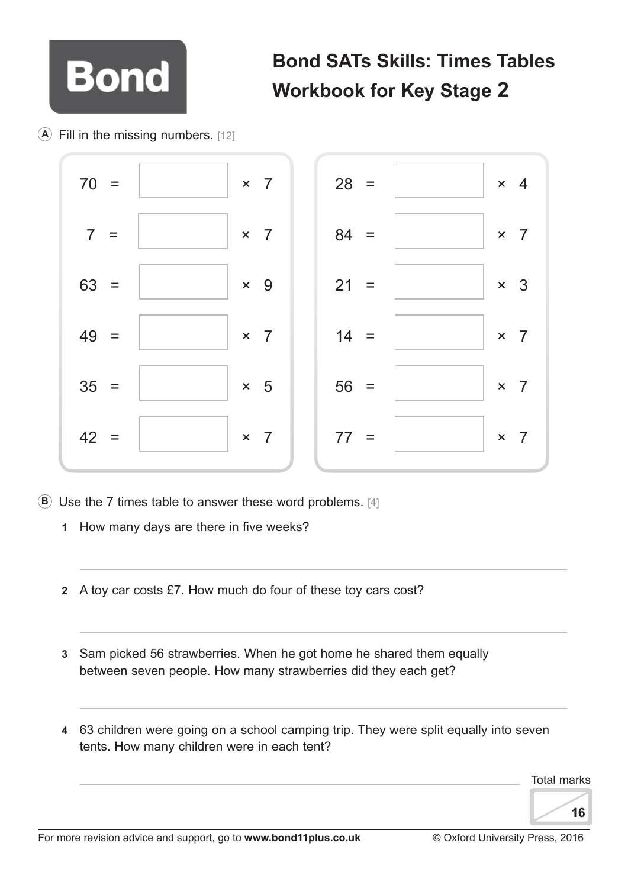

## **Bond SATs Skills: Times Tables Workbook for Key Stage 2**

**A** Fill in the missing numbers. [12]



- **B** Use the 7 times table to answer these word problems. [4]
	- **1** How many days are there in five weeks?
	- **2** A toy car costs £7. How much do four of these toy cars cost?
	- **3** Sam picked 56 strawberries. When he got home he shared them equally between seven people. How many strawberries did they each get?
	- **4** 63 children were going on a school camping trip. They were split equally into seven tents. How many children were in each tent?

Total marks